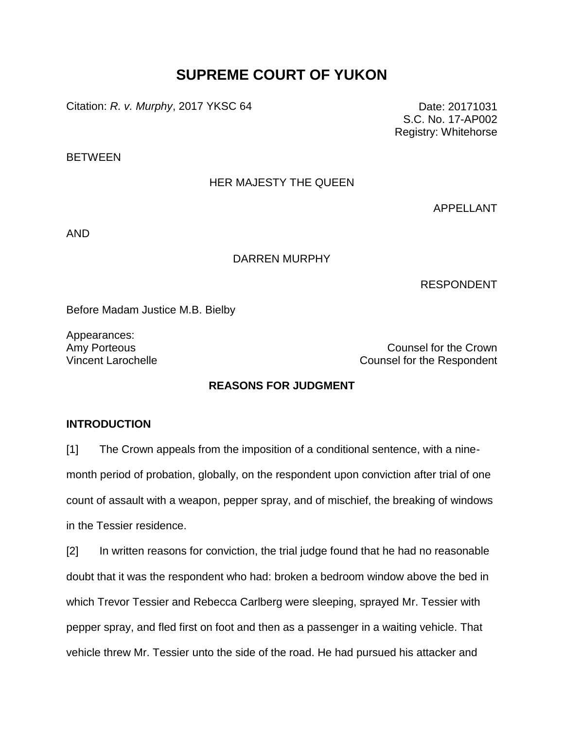# **SUPREME COURT OF YUKON**

Citation: *R. v. Murphy*, 2017 YKSC 64 Date: 20171031

S.C. No. 17-AP002 Registry: Whitehorse

**BETWEEN** 

## HER MAJESTY THE QUEEN

APPELLANT

AND

#### DARREN MURPHY

RESPONDENT

Before Madam Justice M.B. Bielby

Appearances:

Amy Porteous **Counsel for the Crown** Vincent Larochelle **Counsel for the Respondent** 

## **REASONS FOR JUDGMENT**

#### **INTRODUCTION**

[1] The Crown appeals from the imposition of a conditional sentence, with a ninemonth period of probation, globally, on the respondent upon conviction after trial of one count of assault with a weapon, pepper spray, and of mischief, the breaking of windows in the Tessier residence.

[2] In written reasons for conviction, the trial judge found that he had no reasonable doubt that it was the respondent who had: broken a bedroom window above the bed in which Trevor Tessier and Rebecca Carlberg were sleeping, sprayed Mr. Tessier with pepper spray, and fled first on foot and then as a passenger in a waiting vehicle. That vehicle threw Mr. Tessier unto the side of the road. He had pursued his attacker and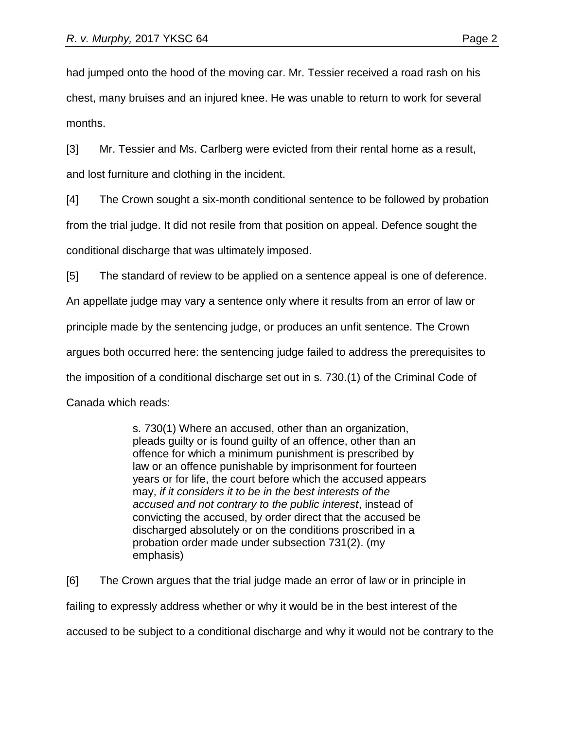had jumped onto the hood of the moving car. Mr. Tessier received a road rash on his chest, many bruises and an injured knee. He was unable to return to work for several months.

[3] Mr. Tessier and Ms. Carlberg were evicted from their rental home as a result, and lost furniture and clothing in the incident.

[4] The Crown sought a six-month conditional sentence to be followed by probation from the trial judge. It did not resile from that position on appeal. Defence sought the conditional discharge that was ultimately imposed.

[5] The standard of review to be applied on a sentence appeal is one of deference.

An appellate judge may vary a sentence only where it results from an error of law or

principle made by the sentencing judge, or produces an unfit sentence. The Crown

argues both occurred here: the sentencing judge failed to address the prerequisites to

the imposition of a conditional discharge set out in s. 730.(1) of the Criminal Code of

Canada which reads:

s. 730(1) Where an accused, other than an organization, pleads guilty or is found guilty of an offence, other than an offence for which a minimum punishment is prescribed by law or an offence punishable by imprisonment for fourteen years or for life, the court before which the accused appears may, *if it considers it to be in the best interests of the accused and not contrary to the public interest*, instead of convicting the accused, by order direct that the accused be discharged absolutely or on the conditions proscribed in a probation order made under subsection 731(2). (my emphasis)

[6] The Crown argues that the trial judge made an error of law or in principle in failing to expressly address whether or why it would be in the best interest of the accused to be subject to a conditional discharge and why it would not be contrary to the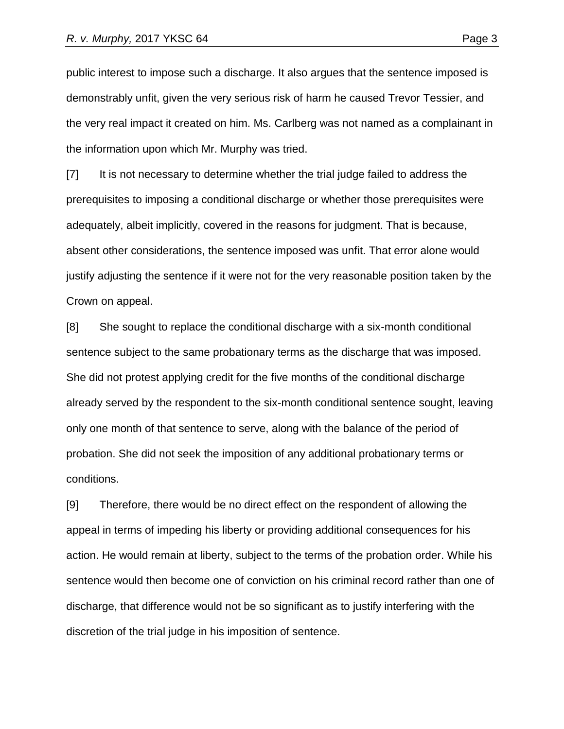public interest to impose such a discharge. It also argues that the sentence imposed is demonstrably unfit, given the very serious risk of harm he caused Trevor Tessier, and the very real impact it created on him. Ms. Carlberg was not named as a complainant in the information upon which Mr. Murphy was tried.

[7] It is not necessary to determine whether the trial judge failed to address the prerequisites to imposing a conditional discharge or whether those prerequisites were adequately, albeit implicitly, covered in the reasons for judgment. That is because, absent other considerations, the sentence imposed was unfit. That error alone would justify adjusting the sentence if it were not for the very reasonable position taken by the Crown on appeal.

[8] She sought to replace the conditional discharge with a six-month conditional sentence subject to the same probationary terms as the discharge that was imposed. She did not protest applying credit for the five months of the conditional discharge already served by the respondent to the six-month conditional sentence sought, leaving only one month of that sentence to serve, along with the balance of the period of probation. She did not seek the imposition of any additional probationary terms or conditions.

[9] Therefore, there would be no direct effect on the respondent of allowing the appeal in terms of impeding his liberty or providing additional consequences for his action. He would remain at liberty, subject to the terms of the probation order. While his sentence would then become one of conviction on his criminal record rather than one of discharge, that difference would not be so significant as to justify interfering with the discretion of the trial judge in his imposition of sentence.